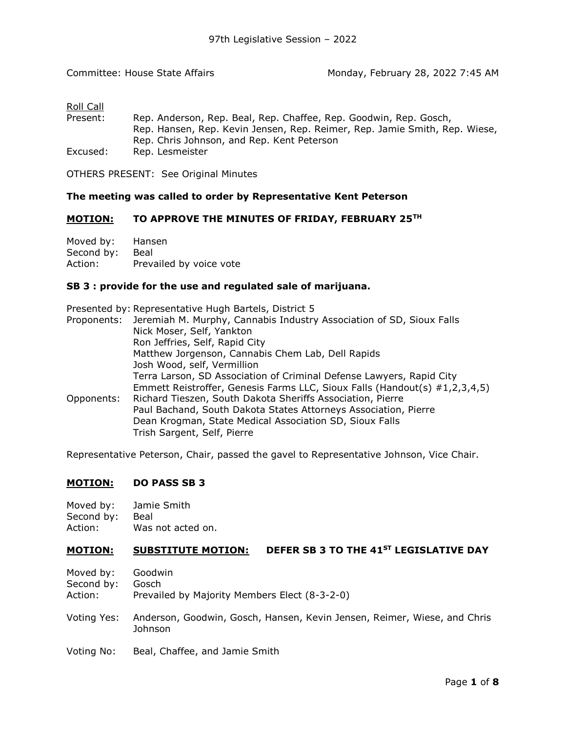# Roll Call

| Present: | Rep. Anderson, Rep. Beal, Rep. Chaffee, Rep. Goodwin, Rep. Gosch,          |
|----------|----------------------------------------------------------------------------|
|          | Rep. Hansen, Rep. Kevin Jensen, Rep. Reimer, Rep. Jamie Smith, Rep. Wiese, |
|          | Rep. Chris Johnson, and Rep. Kent Peterson                                 |
| Excused: | Rep. Lesmeister                                                            |

OTHERS PRESENT: See Original Minutes

# **The meeting was called to order by Representative [Kent Peterson](https://sdlegislature.gov/Legislators/Profile/3982/Detail)**

#### **MOTION: TO APPROVE THE MINUTES OF FRIDAY, FEBRUARY 25TH**

Moved by: [Hansen](https://sdlegislature.gov/Legislators/Profile/3946/Detail) Second by: [Beal](https://sdlegislature.gov/Legislators/Profile/3916/Detail) Action: Prevailed by voice vote

#### **[SB](https://sdlegislature.gov/Session/Bills/64) [3](https://sdlegislature.gov/Session/Bills/64) : provide for the use and regulated sale of marijuana.**

|            | Presented by: Representative Hugh Bartels, District 5                            |
|------------|----------------------------------------------------------------------------------|
|            | Proponents: Jeremiah M. Murphy, Cannabis Industry Association of SD, Sioux Falls |
|            | Nick Moser, Self, Yankton                                                        |
|            | Ron Jeffries, Self, Rapid City                                                   |
|            | Matthew Jorgenson, Cannabis Chem Lab, Dell Rapids                                |
|            | Josh Wood, self, Vermillion                                                      |
|            | Terra Larson, SD Association of Criminal Defense Lawyers, Rapid City             |
|            | Emmett Reistroffer, Genesis Farms LLC, Sioux Falls (Handout(s) #1,2,3,4,5)       |
| Opponents: | Richard Tieszen, South Dakota Sheriffs Association, Pierre                       |
|            | Paul Bachand, South Dakota States Attorneys Association, Pierre                  |
|            | Dean Krogman, State Medical Association SD, Sioux Falls                          |
|            | Trish Sargent, Self, Pierre                                                      |

Representative Peterson, Chair, passed the gavel to Representative Johnson, Vice Chair.

### **MOTION: DO PASS [SB](https://sdlegislature.gov/Session/Bills/64) [3](https://sdlegislature.gov/Session/Bills/64)**

| Moved by: | Jamie Smith |
|-----------|-------------|
|-----------|-------------|

Second by: [Beal](https://sdlegislature.gov/Legislators/Profile/3916/Detail) Action: Was not acted on.

# **MOTION: SUBSTITUTE MOTION: DEFER [SB](https://sdlegislature.gov/Session/Bills/64) [3](https://sdlegislature.gov/Session/Bills/64) TO THE 41ST LEGISLATIVE DAY**

- Moved by: [Goodwin](https://sdlegislature.gov/Legislators/Profile/3941/Detail)
- Second by: [Gosch](https://sdlegislature.gov/Legislators/Profile/3942/Detail)
- Action: Prevailed by Majority Members Elect (8-3-2-0)
- Voting Yes: [Anderson, Goodwin,](https://sdlegislature.gov/Legislators/Profile/3912/Detail) [Gosch, Hansen,](https://sdlegislature.gov/Legislators/Profile/3942/Detail) [Kevin Jensen, Reimer,](https://sdlegislature.gov/Legislators/Profile/3954/Detail) [Wiese, a](https://sdlegislature.gov/Legislators/Profile/4011/Detail)nd [Chris](https://sdlegislature.gov/Legislators/Profile/3957/Detail)  [Johnson](https://sdlegislature.gov/Legislators/Profile/3957/Detail)
- Voting No: [Beal, Chaffee, a](https://sdlegislature.gov/Legislators/Profile/3916/Detail)nd [Jamie Smith](https://sdlegislature.gov/Legislators/Profile/3995/Detail)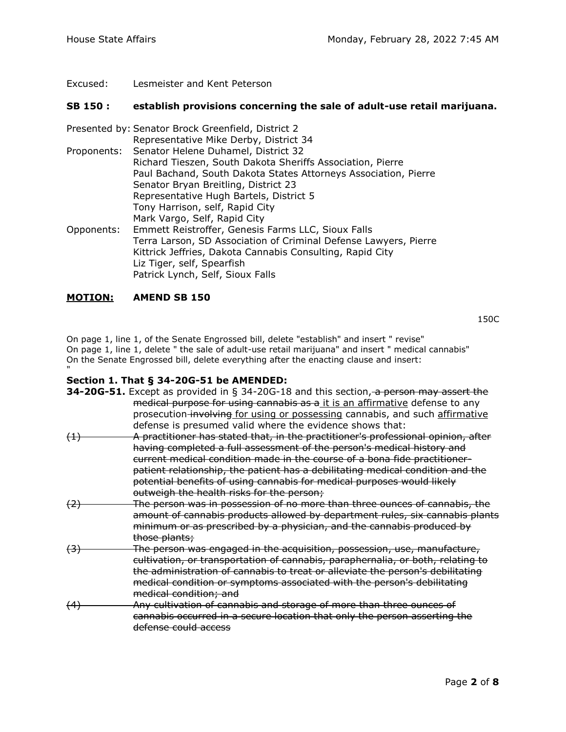Excused: [Lesmeister a](https://sdlegislature.gov/Legislators/Profile/3965/Detail)nd [Kent Peterson](https://sdlegislature.gov/Legislators/Profile/3982/Detail)

### **[SB](https://sdlegislature.gov/Session/Bills/64) [150](https://sdlegislature.gov/Session/Bills/64) : establish provisions concerning the sale of adult-use retail marijuana.**

|            | Presented by: Senator Brock Greenfield, District 2                                                                                                                                              |
|------------|-------------------------------------------------------------------------------------------------------------------------------------------------------------------------------------------------|
|            | Representative Mike Derby, District 34                                                                                                                                                          |
|            | Proponents: Senator Helene Duhamel, District 32                                                                                                                                                 |
|            | Richard Tieszen, South Dakota Sheriffs Association, Pierre                                                                                                                                      |
|            | Paul Bachand, South Dakota States Attorneys Association, Pierre                                                                                                                                 |
|            | Senator Bryan Breitling, District 23                                                                                                                                                            |
|            | Representative Hugh Bartels, District 5                                                                                                                                                         |
|            | Tony Harrison, self, Rapid City                                                                                                                                                                 |
|            | Mark Vargo, Self, Rapid City                                                                                                                                                                    |
| Opponents: | Emmett Reistroffer, Genesis Farms LLC, Sioux Falls                                                                                                                                              |
|            | Terra Larson, SD Association of Criminal Defense Lawyers, Pierre<br>Kittrick Jeffries, Dakota Cannabis Consulting, Rapid City<br>Liz Tiger, self, Spearfish<br>Patrick Lynch, Self, Sioux Falls |
|            |                                                                                                                                                                                                 |

### **MOTION: AMEND [SB](https://sdlegislature.gov/Session/Bills/64) [150](https://sdlegislature.gov/Session/Bills/64)**

[150C](https://mylrc.sdlegislature.gov/api/documents/Amendment/234889.pdf)

On page 1, line 1, of the Senate Engrossed bill, delete "establish" and insert " revise" On page 1, line 1, delete " the sale of adult-use retail marijuana" and insert " medical cannabis" On the Senate Engrossed bill, delete everything after the enacting clause and insert: "

### **Section 1. That § 34-20G-51 be AMENDED:**

|                  | <b>34-20G-51.</b> Except as provided in § 34-20G-18 and this section, a person may assert the |
|------------------|-----------------------------------------------------------------------------------------------|
|                  | medical purpose for using cannabis as a it is an affirmative defense to any                   |
|                  | prosecution-involving for using or possessing cannabis, and such affirmative                  |
|                  | defense is presumed valid where the evidence shows that:                                      |
| (1)              | A practitioner has stated that, in the practitioner's professional opinion, after             |
|                  | having completed a full assessment of the person's medical history and                        |
|                  | current medical condition made in the course of a bona fide practitioner-                     |
|                  | patient relationship, the patient has a debilitating medical condition and the                |
|                  | potential benefits of using cannabis for medical purposes would likely                        |
|                  | outweigh the health risks for the person;                                                     |
| (2)              | The person was in possession of no more than three ounces of cannabis, the                    |
|                  | amount of cannabis products allowed by department rules, six cannabis plants                  |
|                  | minimum or as prescribed by a physician, and the cannabis produced by                         |
|                  | those plants;                                                                                 |
| $\left(3\right)$ | The person was engaged in the acquisition, possession, use, manufacture,                      |
|                  | cultivation, or transportation of cannabis, paraphernalia, or both, relating to               |
|                  | the administration of cannabis to treat or alleviate the person's debilitating                |
|                  | medical condition or symptoms associated with the person's debilitating                       |
|                  | medical condition; and                                                                        |
| (4)              | Any cultivation of cannabis and storage of more than three ounces of                          |
|                  | cannabis occurred in a secure location that only the person asserting the                     |
|                  | <del>defense could access</del>                                                               |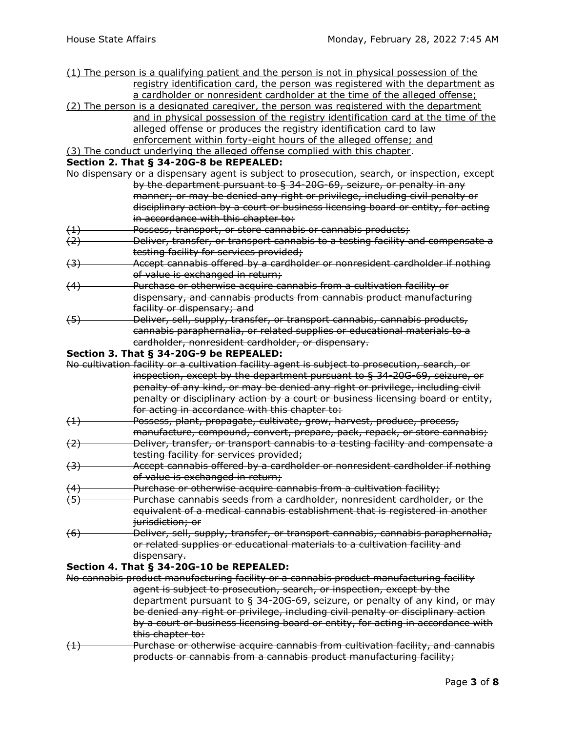- (1) The person is a qualifying patient and the person is not in physical possession of the registry identification card, the person was registered with the department as a cardholder or nonresident cardholder at the time of the alleged offense;
- (2) The person is a designated caregiver, the person was registered with the department and in physical possession of the registry identification card at the time of the alleged offense or produces the registry identification card to law
	- enforcement within forty-eight hours of the alleged offense; and

# (3) The conduct underlying the alleged offense complied with this chapter.

#### **Section 2. That § 34-20G-8 be REPEALED:**

- No dispensary or a dispensary agent is subject to prosecution, search, or inspection, except by the department pursuant to § 34-20G-69, seizure, or penalty in any manner; or may be denied any right or privilege, including civil penalty or disciplinary action by a court or business licensing board or entity, for acting in accordance with this chapter to:
- (1) Possess, transport, or store cannabis or cannabis products;
- $(2)$  Deliver, transfer, or transport cannabis to a testing facility and compensate a testing facility for services provided;
- (3) Accept cannabis offered by a cardholder or nonresident cardholder if nothing of value is exchanged in return;
- (4) Purchase or otherwise acquire cannabis from a cultivation facility or dispensary, and cannabis products from cannabis product manufacturing facility or dispensary; and
- (5) Deliver, sell, supply, transfer, or transport cannabis, cannabis products, cannabis paraphernalia, or related supplies or educational materials to a cardholder, nonresident cardholder, or dispensary.

### **Section 3. That § 34-20G-9 be REPEALED:**

|                  | No cultivation facility or a cultivation facility agent is subject to prosecution, search, or |
|------------------|-----------------------------------------------------------------------------------------------|
|                  | inspection, except by the department pursuant to § 34-20G-69, seizure, or                     |
|                  | penalty of any kind, or may be denied any right or privilege, including civil                 |
|                  | penalty or disciplinary action by a court or business licensing board or entity,              |
|                  | for acting in accordance with this chapter to:                                                |
| (1)              | Possess, plant, propagate, cultivate, grow, harvest, produce, process,                        |
|                  | manufacture, compound, convert, prepare, pack, repack, or store cannabis;                     |
| (2)              | Deliver, transfer, or transport cannabis to a testing facility and compensate a               |
|                  | testing facility for services provided;                                                       |
| $\left(3\right)$ | Accept cannabis offered by a cardholder or nonresident cardholder if nothing                  |
|                  | of value is exchanged in return;                                                              |
| (4)              | Purchase or otherwise acquire cannabis from a cultivation facility;                           |
| (5)              | Purchase cannabis seeds from a cardholder, nonresident cardholder, or the                     |
|                  | equivalent of a medical cannabis establishment that is registered in another                  |
|                  | jurisdiction; or                                                                              |
| $\sim$           |                                                                                               |

(6) Deliver, sell, supply, transfer, or transport cannabis, cannabis paraphernalia, or related supplies or educational materials to a cultivation facility and dispensary.

### **Section 4. That § 34-20G-10 be REPEALED:**

No cannabis product manufacturing facility or a cannabis product manufacturing facility agent is subject to prosecution, search, or inspection, except by the department pursuant to § 34-20G-69, seizure, or penalty of any kind, or may be denied any right or privilege, including civil penalty or disciplinary action by a court or business licensing board or entity, for acting in accordance with this chapter to:

(1) Purchase or otherwise acquire cannabis from cultivation facility, and cannabis products or cannabis from a cannabis product manufacturing facility;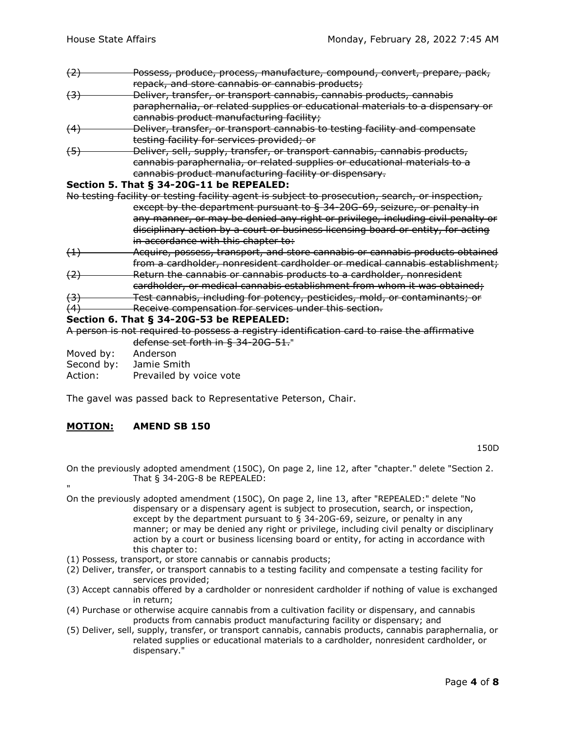- (2) Possess, produce, process, manufacture, compound, convert, prepare, pack, repack, and store cannabis or cannabis products;
- (3) Deliver, transfer, or transport cannabis, cannabis products, cannabis paraphernalia, or related supplies or educational materials to a dispensary or cannabis product manufacturing facility;
- (4) Deliver, transfer, or transport cannabis to testing facility and compensate testing facility for services provided; or
- (5) Deliver, sell, supply, transfer, or transport cannabis, cannabis products, cannabis paraphernalia, or related supplies or educational materials to a cannabis product manufacturing facility or dispensary.

### **Section 5. That § 34-20G-11 be REPEALED:**

- No testing facility or testing facility agent is subject to prosecution, search, or inspection, except by the department pursuant to § 34-20G-69, seizure, or penalty in any manner, or may be denied any right or privilege, including civil penalty or disciplinary action by a court or business licensing board or entity, for acting in accordance with this chapter to:
- (1) Acquire, possess, transport, and store cannabis or cannabis products obtained from a cardholder, nonresident cardholder or medical cannabis establishment;
- (2) Return the cannabis or cannabis products to a cardholder, nonresident
- cardholder, or medical cannabis establishment from whom it was obtained;
- (3) Test cannabis, including for potency, pesticides, mold, or contaminants; or (4) Receive compensation for services under this section.

#### **Section 6. That § 34-20G-53 be REPEALED:**

A person is not required to possess a registry identification card to raise the affirmative defense set forth in § 34-20G-51."

Moved by: [Anderson](https://sdlegislature.gov/Legislators/Profile/3912/Detail)

"

Second by: [Jamie Smith](https://sdlegislature.gov/Legislators/Profile/3995/Detail)

Action: Prevailed by voice vote

The gavel was passed back to Representative Peterson, Chair.

# **MOTION: AMEND [SB](https://sdlegislature.gov/Session/Bills/64) [150](https://sdlegislature.gov/Session/Bills/64)**

[150D](https://mylrc.sdlegislature.gov/api/documents/Amendment/235008.pdf)

On the previously adopted amendment (150C), On page 2, line 12, after "chapter." delete "Section 2. That § 34-20G-8 be REPEALED:

- On the previously adopted amendment (150C), On page 2, line 13, after "REPEALED:" delete "No dispensary or a dispensary agent is subject to prosecution, search, or inspection, except by the department pursuant to § 34-20G-69, seizure, or penalty in any manner; or may be denied any right or privilege, including civil penalty or disciplinary action by a court or business licensing board or entity, for acting in accordance with this chapter to:
- (1) Possess, transport, or store cannabis or cannabis products;
- (2) Deliver, transfer, or transport cannabis to a testing facility and compensate a testing facility for services provided;
- (3) Accept cannabis offered by a cardholder or nonresident cardholder if nothing of value is exchanged in return;
- (4) Purchase or otherwise acquire cannabis from a cultivation facility or dispensary, and cannabis products from cannabis product manufacturing facility or dispensary; and
- (5) Deliver, sell, supply, transfer, or transport cannabis, cannabis products, cannabis paraphernalia, or related supplies or educational materials to a cardholder, nonresident cardholder, or dispensary."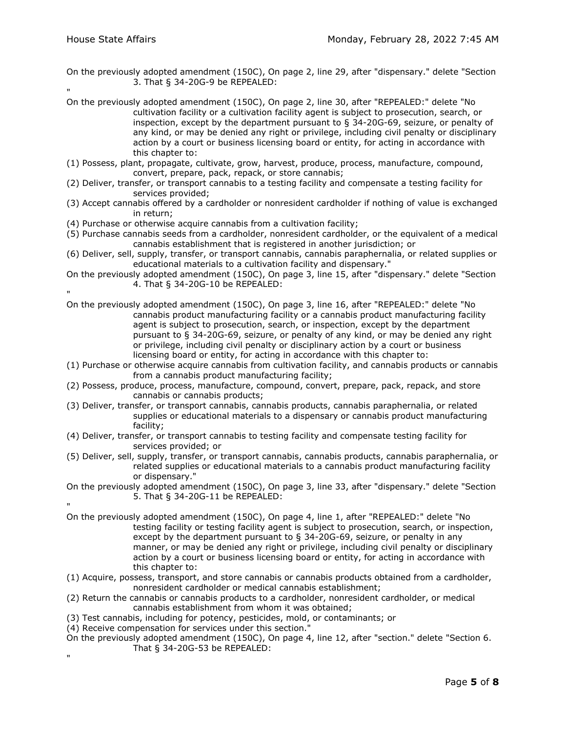- On the previously adopted amendment (150C), On page 2, line 29, after "dispensary." delete "Section 3. That § 34-20G-9 be REPEALED:
- " On the previously adopted amendment (150C), On page 2, line 30, after "REPEALED:" delete "No cultivation facility or a cultivation facility agent is subject to prosecution, search, or inspection, except by the department pursuant to § 34-20G-69, seizure, or penalty of any kind, or may be denied any right or privilege, including civil penalty or disciplinary action by a court or business licensing board or entity, for acting in accordance with this chapter to:
- (1) Possess, plant, propagate, cultivate, grow, harvest, produce, process, manufacture, compound, convert, prepare, pack, repack, or store cannabis;
- (2) Deliver, transfer, or transport cannabis to a testing facility and compensate a testing facility for services provided;
- (3) Accept cannabis offered by a cardholder or nonresident cardholder if nothing of value is exchanged in return;
- (4) Purchase or otherwise acquire cannabis from a cultivation facility;
- (5) Purchase cannabis seeds from a cardholder, nonresident cardholder, or the equivalent of a medical cannabis establishment that is registered in another jurisdiction; or
- (6) Deliver, sell, supply, transfer, or transport cannabis, cannabis paraphernalia, or related supplies or educational materials to a cultivation facility and dispensary."
- On the previously adopted amendment (150C), On page 3, line 15, after "dispensary." delete "Section 4. That § 34-20G-10 be REPEALED:
- " On the previously adopted amendment (150C), On page 3, line 16, after "REPEALED:" delete "No cannabis product manufacturing facility or a cannabis product manufacturing facility agent is subject to prosecution, search, or inspection, except by the department pursuant to § 34-20G-69, seizure, or penalty of any kind, or may be denied any right or privilege, including civil penalty or disciplinary action by a court or business licensing board or entity, for acting in accordance with this chapter to:
- (1) Purchase or otherwise acquire cannabis from cultivation facility, and cannabis products or cannabis from a cannabis product manufacturing facility;
- (2) Possess, produce, process, manufacture, compound, convert, prepare, pack, repack, and store cannabis or cannabis products;
- (3) Deliver, transfer, or transport cannabis, cannabis products, cannabis paraphernalia, or related supplies or educational materials to a dispensary or cannabis product manufacturing facility;
- (4) Deliver, transfer, or transport cannabis to testing facility and compensate testing facility for services provided; or
- (5) Deliver, sell, supply, transfer, or transport cannabis, cannabis products, cannabis paraphernalia, or related supplies or educational materials to a cannabis product manufacturing facility or dispensary."
- On the previously adopted amendment (150C), On page 3, line 33, after "dispensary." delete "Section 5. That § 34-20G-11 be REPEALED:
- "

"

- On the previously adopted amendment (150C), On page 4, line 1, after "REPEALED:" delete "No testing facility or testing facility agent is subject to prosecution, search, or inspection, except by the department pursuant to § 34-20G-69, seizure, or penalty in any manner, or may be denied any right or privilege, including civil penalty or disciplinary action by a court or business licensing board or entity, for acting in accordance with this chapter to:
- (1) Acquire, possess, transport, and store cannabis or cannabis products obtained from a cardholder, nonresident cardholder or medical cannabis establishment;
- (2) Return the cannabis or cannabis products to a cardholder, nonresident cardholder, or medical cannabis establishment from whom it was obtained;
- (3) Test cannabis, including for potency, pesticides, mold, or contaminants; or
- (4) Receive compensation for services under this section."
- On the previously adopted amendment (150C), On page 4, line 12, after "section." delete "Section 6. That § 34-20G-53 be REPEALED: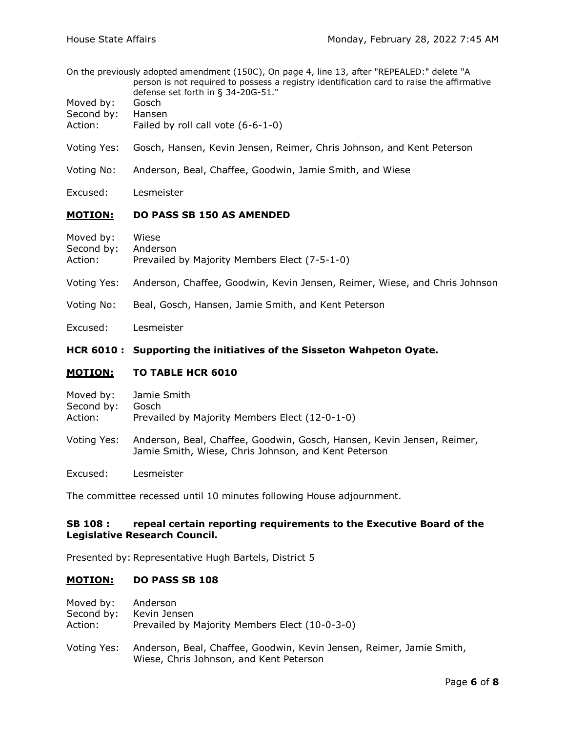- On the previously adopted amendment (150C), On page 4, line 13, after "REPEALED:" delete "A person is not required to possess a registry identification card to raise the affirmative defense set forth in § 34-20G-51."
- Moved by: [Gosch](https://sdlegislature.gov/Legislators/Profile/3942/Detail)
- Second by: [Hansen](https://sdlegislature.gov/Legislators/Profile/3946/Detail)
- Action: Failed by roll call vote (6-6-1-0)
- Voting Yes: [Gosch, Hansen,](https://sdlegislature.gov/Legislators/Profile/3942/Detail) [Kevin Jensen, Reimer,](https://sdlegislature.gov/Legislators/Profile/3954/Detail) [Chris Johnson, a](https://sdlegislature.gov/Legislators/Profile/3957/Detail)nd [Kent Peterson](https://sdlegislature.gov/Legislators/Profile/3982/Detail)
- Voting No: [Anderson, Beal,](https://sdlegislature.gov/Legislators/Profile/3912/Detail) [Chaffee, Goodwin,](https://sdlegislature.gov/Legislators/Profile/3923/Detail) [Jamie Smith, a](https://sdlegislature.gov/Legislators/Profile/3995/Detail)nd [Wiese](https://sdlegislature.gov/Legislators/Profile/4011/Detail)
- Excused: [Lesmeister](https://sdlegislature.gov/Legislators/Profile/3965/Detail)

### **MOTION: DO PASS [SB](https://sdlegislature.gov/Session/Bills/64) [150](https://sdlegislature.gov/Session/Bills/64) AS AMENDED**

| Moved by:           | Wiese                                         |
|---------------------|-----------------------------------------------|
| Second by: Anderson |                                               |
| Action:             | Prevailed by Majority Members Elect (7-5-1-0) |

- Voting Yes: [Anderson, Chaffee,](https://sdlegislature.gov/Legislators/Profile/3912/Detail) [Goodwin, Kevin Jensen,](https://sdlegislature.gov/Legislators/Profile/3941/Detail) [Reimer, Wiese, a](https://sdlegislature.gov/Legislators/Profile/3989/Detail)nd [Chris Johnson](https://sdlegislature.gov/Legislators/Profile/3957/Detail)
- Voting No: [Beal, Gosch,](https://sdlegislature.gov/Legislators/Profile/3916/Detail) [Hansen, Jamie Smith, a](https://sdlegislature.gov/Legislators/Profile/3946/Detail)nd [Kent Peterson](https://sdlegislature.gov/Legislators/Profile/3982/Detail)
- Excused: [Lesmeister](https://sdlegislature.gov/Legislators/Profile/3965/Detail)

### **[HCR](https://sdlegislature.gov/Session/Bills/64) [6010](https://sdlegislature.gov/Session/Bills/64) : Supporting the initiatives of the Sisseton Wahpeton Oyate.**

### **MOTION: TO TABLE [HCR](https://sdlegislature.gov/Session/Bills/64) [6010](https://sdlegislature.gov/Session/Bills/64)**

| Moved by:   | Jamie Smith                                                                                                                    |
|-------------|--------------------------------------------------------------------------------------------------------------------------------|
| Second by:  | Gosch                                                                                                                          |
| Action:     | Prevailed by Majority Members Elect (12-0-1-0)                                                                                 |
| Voting Yes: | Anderson, Beal, Chaffee, Goodwin, Gosch, Hansen, Kevin Jensen, Reimer,<br>Jamie Smith, Wiese, Chris Johnson, and Kent Peterson |

Excused: [Lesmeister](https://sdlegislature.gov/Legislators/Profile/3965/Detail)

The committee recessed until 10 minutes following House adjournment.

#### **[SB](https://sdlegislature.gov/Session/Bills/64) [108](https://sdlegislature.gov/Session/Bills/64) : repeal certain reporting requirements to the Executive Board of the Legislative Research Council.**

Presented by: Representative Hugh Bartels, District 5

### **MOTION: DO PASS [SB](https://sdlegislature.gov/Session/Bills/64) [108](https://sdlegislature.gov/Session/Bills/64)**

| Moved by:  | Anderson                                       |
|------------|------------------------------------------------|
| Second by: | Kevin Jensen                                   |
| Action:    | Prevailed by Majority Members Elect (10-0-3-0) |
|            |                                                |

Voting Yes: [Anderson, Beal,](https://sdlegislature.gov/Legislators/Profile/3912/Detail) [Chaffee, Goodwin,](https://sdlegislature.gov/Legislators/Profile/3923/Detail) [Kevin Jensen, Reimer,](https://sdlegislature.gov/Legislators/Profile/3954/Detail) [Jamie Smith,](https://sdlegislature.gov/Legislators/Profile/3995/Detail)  [Wiese, Chris Johnson, a](https://sdlegislature.gov/Legislators/Profile/4011/Detail)nd [Kent Peterson](https://sdlegislature.gov/Legislators/Profile/3982/Detail)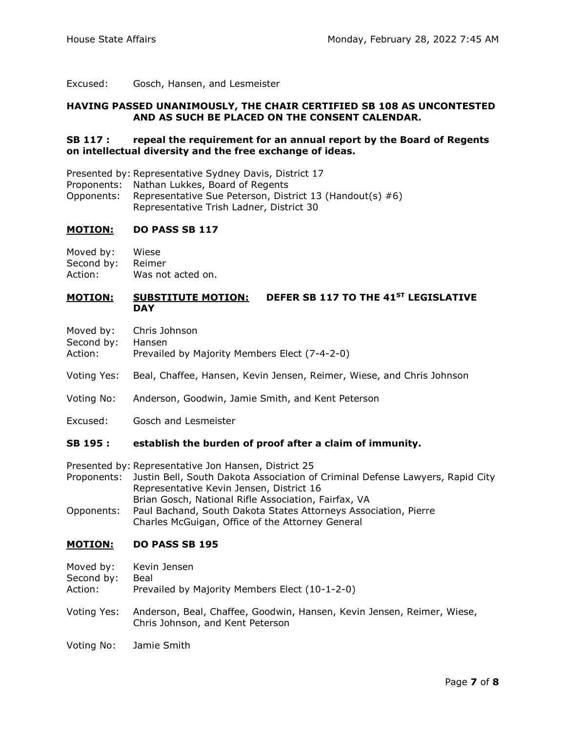Excused: [Gosch, Hansen, a](https://sdlegislature.gov/Legislators/Profile/3942/Detail)nd [Lesmeister](https://sdlegislature.gov/Legislators/Profile/3965/Detail)

#### **HAVING PASSED UNANIMOUSLY, THE CHAIR CERTIFIED [SB](https://sdlegislature.gov/Session/Bills/64) [108](https://sdlegislature.gov/Session/Bills/64) AS UNCONTESTED AND AS SUCH BE PLACED ON THE CONSENT CALENDAR.**

#### **[SB](https://sdlegislature.gov/Session/Bills/64) [117](https://sdlegislature.gov/Session/Bills/64) : repeal the requirement for an annual report by the Board of Regents on intellectual diversity and the free exchange of ideas.**

Presented by: Representative Sydney Davis, District 17

Proponents: Nathan Lukkes, Board of Regents

Opponents: Representative Sue Peterson, District 13 (Handout(s) #6) Representative Trish Ladner, District 30

# **MOTION: DO PASS [SB](https://sdlegislature.gov/Session/Bills/64) [117](https://sdlegislature.gov/Session/Bills/64)**

Moved by: [Wiese](https://sdlegislature.gov/Legislators/Profile/4011/Detail)

Second by: [Reimer](https://sdlegislature.gov/Legislators/Profile/3989/Detail)

Action: Was not acted on.

## **MOTION: SUBSTITUTE MOTION: DEFER [SB](https://sdlegislature.gov/Session/Bills/64) [117](https://sdlegislature.gov/Session/Bills/64) TO THE 41ST LEGISLATIVE DAY**

- Moved by: [Chris Johnson](https://sdlegislature.gov/Legislators/Profile/3957/Detail)
- Second by: [Hansen](https://sdlegislature.gov/Legislators/Profile/3946/Detail)
- Action: Prevailed by Majority Members Elect (7-4-2-0)
- Voting Yes: [Beal, Chaffee,](https://sdlegislature.gov/Legislators/Profile/3916/Detail) [Hansen, Kevin Jensen,](https://sdlegislature.gov/Legislators/Profile/3946/Detail) [Reimer, Wiese, a](https://sdlegislature.gov/Legislators/Profile/3989/Detail)nd [Chris Johnson](https://sdlegislature.gov/Legislators/Profile/3957/Detail)
- Voting No: [Anderson, Goodwin,](https://sdlegislature.gov/Legislators/Profile/3912/Detail) [Jamie Smith, a](https://sdlegislature.gov/Legislators/Profile/3995/Detail)nd [Kent Peterson](https://sdlegislature.gov/Legislators/Profile/3982/Detail)
- Excused: [Gosch a](https://sdlegislature.gov/Legislators/Profile/3942/Detail)nd [Lesmeister](https://sdlegislature.gov/Legislators/Profile/3965/Detail)

### **[SB](https://sdlegislature.gov/Session/Bills/64) [195](https://sdlegislature.gov/Session/Bills/64) : establish the burden of proof after a claim of immunity.**

- Presented by: Representative Jon Hansen, District 25
- Proponents: Justin Bell, South Dakota Association of Criminal Defense Lawyers, Rapid City Representative Kevin Jensen, District 16 Brian Gosch, National Rifle Association, Fairfax, VA Opponents: Paul Bachand, South Dakota States Attorneys Association, Pierre
- Charles McGuigan, Office of the Attorney General

### **MOTION: DO PASS [SB](https://sdlegislature.gov/Session/Bills/64) [195](https://sdlegislature.gov/Session/Bills/64)**

- Moved by: [Kevin Jensen](https://sdlegislature.gov/Legislators/Profile/3954/Detail) Second by: [Beal](https://sdlegislature.gov/Legislators/Profile/3916/Detail)
- Action: Prevailed by Majority Members Elect (10-1-2-0)
- Voting Yes: [Anderson, Beal,](https://sdlegislature.gov/Legislators/Profile/3912/Detail) [Chaffee, Goodwin,](https://sdlegislature.gov/Legislators/Profile/3923/Detail) [Hansen, Kevin Jensen,](https://sdlegislature.gov/Legislators/Profile/3946/Detail) [Reimer, Wiese,](https://sdlegislature.gov/Legislators/Profile/3989/Detail)  [Chris Johnson, a](https://sdlegislature.gov/Legislators/Profile/3957/Detail)nd [Kent Peterson](https://sdlegislature.gov/Legislators/Profile/3982/Detail)
- Voting No: [Jamie Smith](https://sdlegislature.gov/Legislators/Profile/3995/Detail)